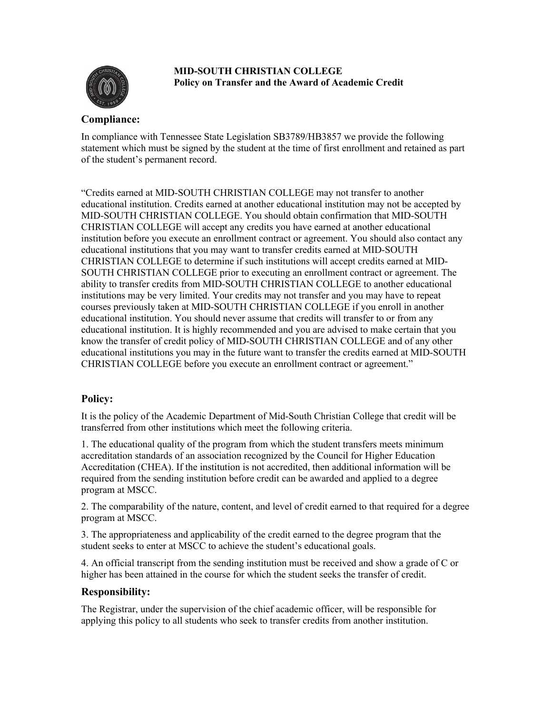

**MID-SOUTH CHRISTIAN COLLEGE Policy on Transfer and the Award of Academic Credit**

## **Compliance:**

In compliance with Tennessee State Legislation SB3789/HB3857 we provide the following statement which must be signed by the student at the time of first enrollment and retained as part of the student's permanent record.

"Credits earned at MID-SOUTH CHRISTIAN COLLEGE may not transfer to another educational institution. Credits earned at another educational institution may not be accepted by MID-SOUTH CHRISTIAN COLLEGE. You should obtain confirmation that MID-SOUTH CHRISTIAN COLLEGE will accept any credits you have earned at another educational institution before you execute an enrollment contract or agreement. You should also contact any educational institutions that you may want to transfer credits earned at MID-SOUTH CHRISTIAN COLLEGE to determine if such institutions will accept credits earned at MID-SOUTH CHRISTIAN COLLEGE prior to executing an enrollment contract or agreement. The ability to transfer credits from MID-SOUTH CHRISTIAN COLLEGE to another educational institutions may be very limited. Your credits may not transfer and you may have to repeat courses previously taken at MID-SOUTH CHRISTIAN COLLEGE if you enroll in another educational institution. You should never assume that credits will transfer to or from any educational institution. It is highly recommended and you are advised to make certain that you know the transfer of credit policy of MID-SOUTH CHRISTIAN COLLEGE and of any other educational institutions you may in the future want to transfer the credits earned at MID-SOUTH CHRISTIAN COLLEGE before you execute an enrollment contract or agreement."

## **Policy:**

It is the policy of the Academic Department of Mid-South Christian College that credit will be transferred from other institutions which meet the following criteria.

1. The educational quality of the program from which the student transfers meets minimum accreditation standards of an association recognized by the Council for Higher Education Accreditation (CHEA). If the institution is not accredited, then additional information will be required from the sending institution before credit can be awarded and applied to a degree program at MSCC.

2. The comparability of the nature, content, and level of credit earned to that required for a degree program at MSCC.

3. The appropriateness and applicability of the credit earned to the degree program that the student seeks to enter at MSCC to achieve the student's educational goals.

4. An official transcript from the sending institution must be received and show a grade of C or higher has been attained in the course for which the student seeks the transfer of credit.

## **Responsibility:**

The Registrar, under the supervision of the chief academic officer, will be responsible for applying this policy to all students who seek to transfer credits from another institution.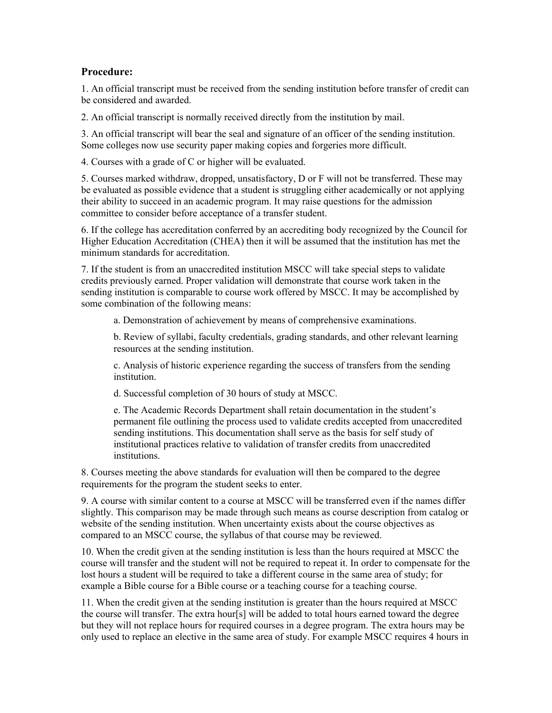## **Procedure:**

1. An official transcript must be received from the sending institution before transfer of credit can be considered and awarded.

2. An official transcript is normally received directly from the institution by mail.

3. An official transcript will bear the seal and signature of an officer of the sending institution. Some colleges now use security paper making copies and forgeries more difficult.

4. Courses with a grade of C or higher will be evaluated.

5. Courses marked withdraw, dropped, unsatisfactory, D or F will not be transferred. These may be evaluated as possible evidence that a student is struggling either academically or not applying their ability to succeed in an academic program. It may raise questions for the admission committee to consider before acceptance of a transfer student.

6. If the college has accreditation conferred by an accrediting body recognized by the Council for Higher Education Accreditation (CHEA) then it will be assumed that the institution has met the minimum standards for accreditation.

7. If the student is from an unaccredited institution MSCC will take special steps to validate credits previously earned. Proper validation will demonstrate that course work taken in the sending institution is comparable to course work offered by MSCC. It may be accomplished by some combination of the following means:

a. Demonstration of achievement by means of comprehensive examinations.

b. Review of syllabi, faculty credentials, grading standards, and other relevant learning resources at the sending institution.

c. Analysis of historic experience regarding the success of transfers from the sending institution.

d. Successful completion of 30 hours of study at MSCC.

e. The Academic Records Department shall retain documentation in the student's permanent file outlining the process used to validate credits accepted from unaccredited sending institutions. This documentation shall serve as the basis for self study of institutional practices relative to validation of transfer credits from unaccredited institutions.

8. Courses meeting the above standards for evaluation will then be compared to the degree requirements for the program the student seeks to enter.

9. A course with similar content to a course at MSCC will be transferred even if the names differ slightly. This comparison may be made through such means as course description from catalog or website of the sending institution. When uncertainty exists about the course objectives as compared to an MSCC course, the syllabus of that course may be reviewed.

10. When the credit given at the sending institution is less than the hours required at MSCC the course will transfer and the student will not be required to repeat it. In order to compensate for the lost hours a student will be required to take a different course in the same area of study; for example a Bible course for a Bible course or a teaching course for a teaching course.

11. When the credit given at the sending institution is greater than the hours required at MSCC the course will transfer. The extra hour[s] will be added to total hours earned toward the degree but they will not replace hours for required courses in a degree program. The extra hours may be only used to replace an elective in the same area of study. For example MSCC requires 4 hours in